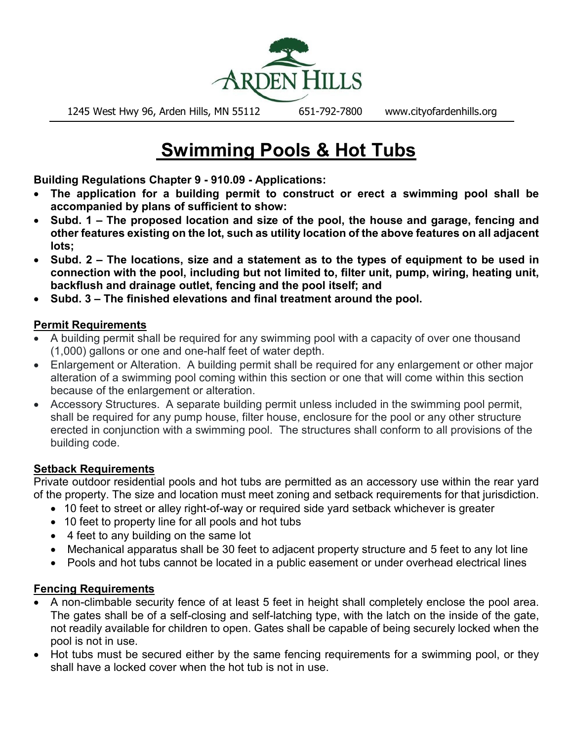

1245 West Hwy 96, Arden Hills, MN 55112 651-792-7800 www.cityofardenhills.org

# **Swimming Pools & Hot Tubs**

**Building Regulations Chapter 9 - 910.09 - Applications:**

- **The application for a building permit to construct or erect a swimming pool shall be accompanied by plans of sufficient to show:**
- **Subd. 1 The proposed location and size of the pool, the house and garage, fencing and other features existing on the lot, such as utility location of the above features on all adjacent lots;**
- **Subd. 2 The locations, size and a statement as to the types of equipment to be used in connection with the pool, including but not limited to, filter unit, pump, wiring, heating unit, backflush and drainage outlet, fencing and the pool itself; and**
- **Subd. 3 The finished elevations and final treatment around the pool.**

#### **Permit Requirements**

- A building permit shall be required for any swimming pool with a capacity of over one thousand (1,000) gallons or one and one-half feet of water depth.
- Enlargement or Alteration. A building permit shall be required for any enlargement or other major alteration of a swimming pool coming within this section or one that will come within this section because of the enlargement or alteration.
- Accessory Structures. A separate building permit unless included in the swimming pool permit, shall be required for any pump house, filter house, enclosure for the pool or any other structure erected in conjunction with a swimming pool. The structures shall conform to all provisions of the building code.

#### **Setback Requirements**

Private outdoor residential pools and hot tubs are permitted as an accessory use within the rear yard of the property. The size and location must meet zoning and setback requirements for that jurisdiction.

- 10 feet to street or alley right-of-way or required side yard setback whichever is greater
- 10 feet to property line for all pools and hot tubs
- 4 feet to any building on the same lot
- Mechanical apparatus shall be 30 feet to adjacent property structure and 5 feet to any lot line
- Pools and hot tubs cannot be located in a public easement or under overhead electrical lines

#### **Fencing Requirements**

- A non-climbable security fence of at least 5 feet in height shall completely enclose the pool area. The gates shall be of a self-closing and self-latching type, with the latch on the inside of the gate, not readily available for children to open. Gates shall be capable of being securely locked when the pool is not in use.
- Hot tubs must be secured either by the same fencing requirements for a swimming pool, or they shall have a locked cover when the hot tub is not in use.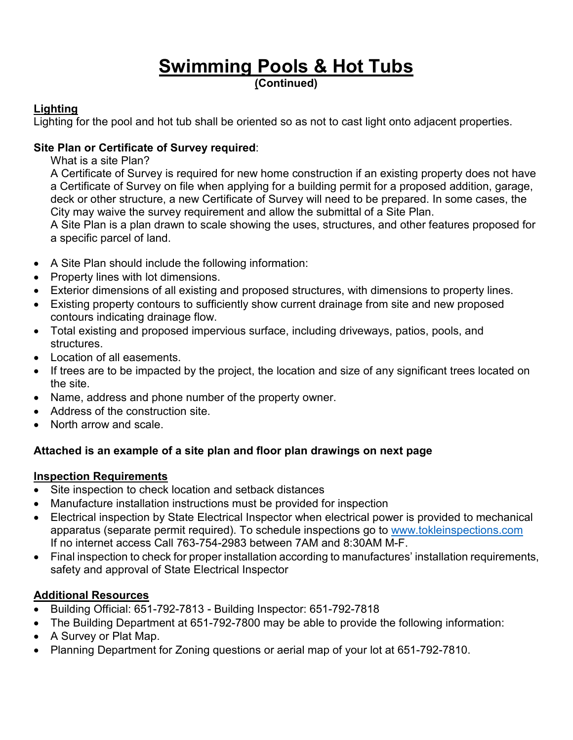# **Swimming Pools & Hot Tubs (Continued)**

#### **Lighting**

Lighting for the pool and hot tub shall be oriented so as not to cast light onto adjacent properties.

#### **Site Plan or Certificate of Survey required**:

What is a site Plan?

A Certificate of Survey is required for new home construction if an existing property does not have a Certificate of Survey on file when applying for a building permit for a proposed addition, garage, deck or other structure, a new Certificate of Survey will need to be prepared. In some cases, the City may waive the survey requirement and allow the submittal of a Site Plan.

A Site Plan is a plan drawn to scale showing the uses, structures, and other features proposed for a specific parcel of land.

- A Site Plan should include the following information:
- Property lines with lot dimensions.
- Exterior dimensions of all existing and proposed structures, with dimensions to property lines.
- Existing property contours to sufficiently show current drainage from site and new proposed contours indicating drainage flow.
- Total existing and proposed impervious surface, including driveways, patios, pools, and structures.
- Location of all easements.
- If trees are to be impacted by the project, the location and size of any significant trees located on the site.
- Name, address and phone number of the property owner.
- Address of the construction site.
- North arrow and scale.

## **Attached is an example of a site plan and floor plan drawings on next page**

## **Inspection Requirements**

- Site inspection to check location and setback distances
- Manufacture installation instructions must be provided for inspection
- Electrical inspection by State Electrical Inspector when electrical power is provided to mechanical apparatus (separate permit required). To schedule inspections go to [www.tokleinspections.com](http://www.tokleinspections.com/) If no internet access Call 763-754-2983 between 7AM and 8:30AM M-F.
- Final inspection to check for proper installation according to manufactures' installation requirements, safety and approval of State Electrical Inspector

## **Additional Resources**

- Building Official: 651-792-7813 Building Inspector: 651-792-7818
- The Building Department at 651-792-7800 may be able to provide the following information:
- A Survey or Plat Map.
- Planning Department for Zoning questions or aerial map of your lot at 651-792-7810.